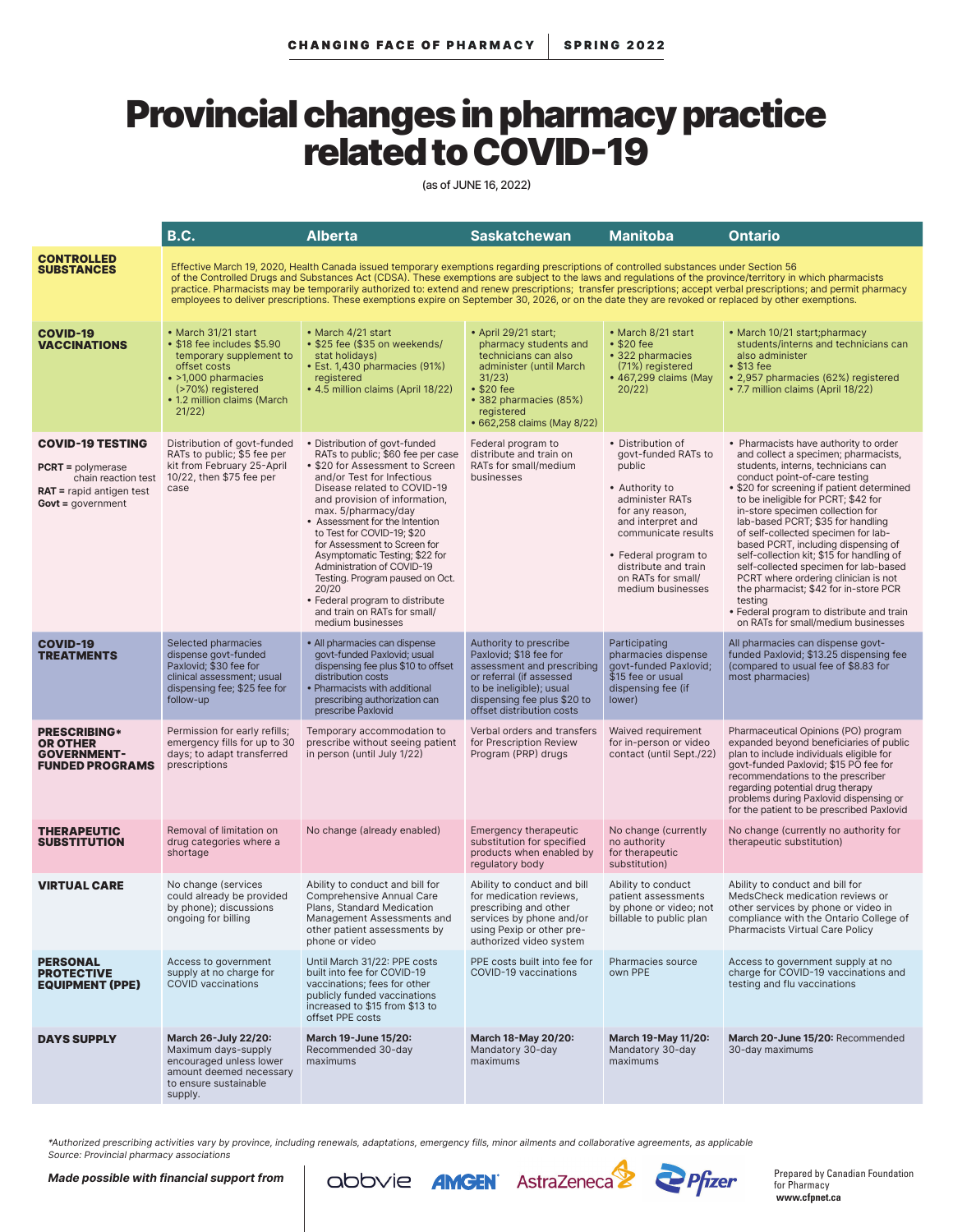## Provincial changes in pharmacy practice related to COVID-19

(as of JUNE 16, 2022)

|                                                                                                                                        | <b>B.C.</b>                                                                                                                                                                                                                                                                                                                                                                                                                                                                                                                                                                                                                    | <b>Alberta</b>                                                                                                                                                                                                                                                                                                                                                                                                                                                                                                                 | <b>Saskatchewan</b>                                                                                                                                                                                | <b>Manitoba</b>                                                                                                                                                                                                                                   | <b>Ontario</b>                                                                                                                                                                                                                                                                                                                                                                                                                                                                                                                                                                                                                                                         |  |  |  |
|----------------------------------------------------------------------------------------------------------------------------------------|--------------------------------------------------------------------------------------------------------------------------------------------------------------------------------------------------------------------------------------------------------------------------------------------------------------------------------------------------------------------------------------------------------------------------------------------------------------------------------------------------------------------------------------------------------------------------------------------------------------------------------|--------------------------------------------------------------------------------------------------------------------------------------------------------------------------------------------------------------------------------------------------------------------------------------------------------------------------------------------------------------------------------------------------------------------------------------------------------------------------------------------------------------------------------|----------------------------------------------------------------------------------------------------------------------------------------------------------------------------------------------------|---------------------------------------------------------------------------------------------------------------------------------------------------------------------------------------------------------------------------------------------------|------------------------------------------------------------------------------------------------------------------------------------------------------------------------------------------------------------------------------------------------------------------------------------------------------------------------------------------------------------------------------------------------------------------------------------------------------------------------------------------------------------------------------------------------------------------------------------------------------------------------------------------------------------------------|--|--|--|
| <b>CONTROLLED</b><br><b>SUBSTANCES</b>                                                                                                 | Effective March 19, 2020, Health Canada issued temporary exemptions regarding prescriptions of controlled substances under Section 56<br>of the Controlled Drugs and Substances Act (CDSA). These exemptions are subject to the laws and regulations of the province/territory in which pharmacists<br>practice. Pharmacists may be temporarily authorized to: extend and renew prescriptions; transfer prescriptions; accept verbal prescriptions; and permit pharmacy<br>employees to deliver prescriptions. These exemptions expire on September 30, 2026, or on the date they are revoked or replaced by other exemptions. |                                                                                                                                                                                                                                                                                                                                                                                                                                                                                                                                |                                                                                                                                                                                                    |                                                                                                                                                                                                                                                   |                                                                                                                                                                                                                                                                                                                                                                                                                                                                                                                                                                                                                                                                        |  |  |  |
| <b>COVID-19</b><br><b>VACCINATIONS</b>                                                                                                 | • March 31/21 start<br>• \$18 fee includes \$5.90<br>temporary supplement to<br>offset costs<br>• >1,000 pharmacies<br>(>70%) registered<br>• 1.2 million claims (March<br>21/22)                                                                                                                                                                                                                                                                                                                                                                                                                                              | • March 4/21 start<br>• \$25 fee (\$35 on weekends/<br>stat holidays)<br>• Est. 1,430 pharmacies (91%)<br>registered<br>• 4.5 million claims (April 18/22)                                                                                                                                                                                                                                                                                                                                                                     | • April 29/21 start;<br>pharmacy students and<br>technicians can also<br>administer (until March)<br>31/23)<br>•\$20 fee<br>• 382 pharmacies (85%)<br>registered<br>• 662,258 claims (May 8/22)    | • March 8/21 start<br>•\$20 fee<br>• 322 pharmacies<br>(71%) registered<br>• 467,299 claims (May<br>20/22                                                                                                                                         | • March 10/21 start; pharmacy<br>students/interns and technicians can<br>also administer<br>• \$13 fee<br>• 2,957 pharmacies (62%) registered<br>• 7.7 million claims (April 18/22)                                                                                                                                                                                                                                                                                                                                                                                                                                                                                    |  |  |  |
| <b>COVID-19 TESTING</b><br><b>PCRT</b> = $polymerase$<br>chain reaction test<br><b>RAT</b> = rapid antigen test<br>$Govt = government$ | Distribution of govt-funded<br>RATs to public; \$5 fee per<br>kit from February 25-April<br>10/22, then \$75 fee per<br>case                                                                                                                                                                                                                                                                                                                                                                                                                                                                                                   | • Distribution of govt-funded<br>RATs to public; \$60 fee per case<br>• \$20 for Assessment to Screen<br>and/or Test for Infectious<br>Disease related to COVID-19<br>and provision of information,<br>max. 5/pharmacy/day<br>• Assessment for the Intention<br>to Test for COVID-19; \$20<br>for Assessment to Screen for<br>Asymptomatic Testing; \$22 for<br>Administration of COVID-19<br>Testing. Program paused on Oct.<br>20/20<br>• Federal program to distribute<br>and train on RATs for small/<br>medium businesses | Federal program to<br>distribute and train on<br>RATs for small/medium<br>businesses                                                                                                               | • Distribution of<br>govt-funded RATs to<br>public<br>• Authority to<br>administer RATs<br>for any reason,<br>and interpret and<br>communicate results<br>• Federal program to<br>distribute and train<br>on RATs for small/<br>medium businesses | • Pharmacists have authority to order<br>and collect a specimen; pharmacists,<br>students, interns, technicians can<br>conduct point-of-care testing<br>• \$20 for screening if patient determined<br>to be ineligible for PCRT; \$42 for<br>in-store specimen collection for<br>lab-based PCRT; \$35 for handling<br>of self-collected specimen for lab-<br>based PCRT, including dispensing of<br>self-collection kit; \$15 for handling of<br>self-collected specimen for lab-based<br>PCRT where ordering clinician is not<br>the pharmacist; \$42 for in-store PCR<br>testing<br>· Federal program to distribute and train<br>on RATs for small/medium businesses |  |  |  |
| <b>COVID-19</b><br><b>TREATMENTS</b>                                                                                                   | Selected pharmacies<br>dispense govt-funded<br>Paxlovid; \$30 fee for<br>clinical assessment; usual<br>dispensing fee; \$25 fee for<br>follow-up                                                                                                                                                                                                                                                                                                                                                                                                                                                                               | • All pharmacies can dispense<br>aovt-funded Paxlovid: usual<br>dispensing fee plus \$10 to offset<br>distribution costs<br>• Pharmacists with additional<br>prescribing authorization can<br>prescribe Paxlovid                                                                                                                                                                                                                                                                                                               | Authority to prescribe<br>Paxlovid; \$18 fee for<br>assessment and prescribing<br>or referral (if assessed<br>to be ineligible); usual<br>dispensing fee plus \$20 to<br>offset distribution costs | Participating<br>pharmacies dispense<br>govt-funded Paxlovid;<br>\$15 fee or usual<br>dispensing fee (if<br>lower)                                                                                                                                | All pharmacies can dispense govt-<br>funded Paxlovid: \$13.25 dispensing fee<br>(compared to usual fee of \$8.83 for<br>most pharmacies)                                                                                                                                                                                                                                                                                                                                                                                                                                                                                                                               |  |  |  |
| <b>PRESCRIBING*</b><br><b>OR OTHER</b><br><b>GOVERNMENT-</b><br><b>FUNDED PROGRAMS</b>                                                 | Permission for early refills;<br>emergency fills for up to 30<br>days; to adapt transferred<br>prescriptions                                                                                                                                                                                                                                                                                                                                                                                                                                                                                                                   | Temporary accommodation to<br>prescribe without seeing patient<br>in person (until July 1/22)                                                                                                                                                                                                                                                                                                                                                                                                                                  | Verbal orders and transfers<br>for Prescription Review<br>Program (PRP) drugs                                                                                                                      | Waived requirement<br>for in-person or video<br>contact (until Sept./22)                                                                                                                                                                          | Pharmaceutical Opinions (PO) program<br>expanded beyond beneficiaries of public<br>plan to include individuals eligible for<br>govt-funded Paxlovid; \$15 PO fee for<br>recommendations to the prescriber<br>regarding potential drug therapy<br>problems during Paxlovid dispensing or<br>for the patient to be prescribed Paxlovid                                                                                                                                                                                                                                                                                                                                   |  |  |  |
| <b>THERAPEUTIC</b><br>SUBSTITUTION                                                                                                     | Removal of limitation on<br>drug categories where a<br>shortage                                                                                                                                                                                                                                                                                                                                                                                                                                                                                                                                                                | No change (already enabled)                                                                                                                                                                                                                                                                                                                                                                                                                                                                                                    | <b>Emergency therapeutic</b><br>substitution for specified<br>products when enabled by<br>regulatory body                                                                                          | No change (currently<br>no authority<br>for therapeutic<br>substitution)                                                                                                                                                                          | No change (currently no authority for<br>therapeutic substitution)                                                                                                                                                                                                                                                                                                                                                                                                                                                                                                                                                                                                     |  |  |  |
| <b>VIRTUAL CARE</b>                                                                                                                    | No change (services<br>could already be provided<br>by phone); discussions<br>ongoing for billing                                                                                                                                                                                                                                                                                                                                                                                                                                                                                                                              | Ability to conduct and bill for<br>Comprehensive Annual Care<br>Plans, Standard Medication<br>Management Assessments and<br>other patient assessments by<br>phone or video                                                                                                                                                                                                                                                                                                                                                     | Ability to conduct and bill<br>for medication reviews,<br>prescribing and other<br>services by phone and/or<br>using Pexip or other pre-<br>authorized video system                                | Ability to conduct<br>patient assessments<br>by phone or video; not<br>billable to public plan                                                                                                                                                    | Ability to conduct and bill for<br>MedsCheck medication reviews or<br>other services by phone or video in<br>compliance with the Ontario College of<br>Pharmacists Virtual Care Policy                                                                                                                                                                                                                                                                                                                                                                                                                                                                                 |  |  |  |
| PERSONAL<br><b>PROTECTIVE</b><br><b>EQUIPMENT (PPE)</b>                                                                                | Access to government<br>supply at no charge for<br><b>COVID</b> vaccinations                                                                                                                                                                                                                                                                                                                                                                                                                                                                                                                                                   | Until March 31/22: PPE costs<br>built into fee for COVID-19<br>vaccinations; fees for other<br>publicly funded vaccinations<br>increased to \$15 from \$13 to<br>offset PPE costs                                                                                                                                                                                                                                                                                                                                              | PPE costs built into fee for<br>COVID-19 vaccinations                                                                                                                                              | Pharmacies source<br>own PPE                                                                                                                                                                                                                      | Access to government supply at no<br>charge for COVID-19 vaccinations and<br>testing and flu vaccinations                                                                                                                                                                                                                                                                                                                                                                                                                                                                                                                                                              |  |  |  |
| <b>DAYS SUPPLY</b>                                                                                                                     | March 26-July 22/20:<br>Maximum days-supply<br>encouraged unless lower<br>amount deemed necessary<br>to ensure sustainable<br>supply.                                                                                                                                                                                                                                                                                                                                                                                                                                                                                          | March 19-June 15/20:<br>Recommended 30-day<br>maximums                                                                                                                                                                                                                                                                                                                                                                                                                                                                         | March 18-May 20/20:<br>Mandatory 30-day<br>maximums                                                                                                                                                | <b>March 19-May 11/20:</b><br>Mandatory 30-day<br>maximums                                                                                                                                                                                        | March 20-June 15/20: Recommended<br>30-day maximums                                                                                                                                                                                                                                                                                                                                                                                                                                                                                                                                                                                                                    |  |  |  |

\*Authorized prescribing activities vary by province, including renewals, adaptations, emergency fills, minor ailments and collaborative agreements, as applicable Source: Provincial pharmacy associations

Made possible with financial support from







Prepared by Canadian Foundation for Pharmacy **www.cfpnet.ca**